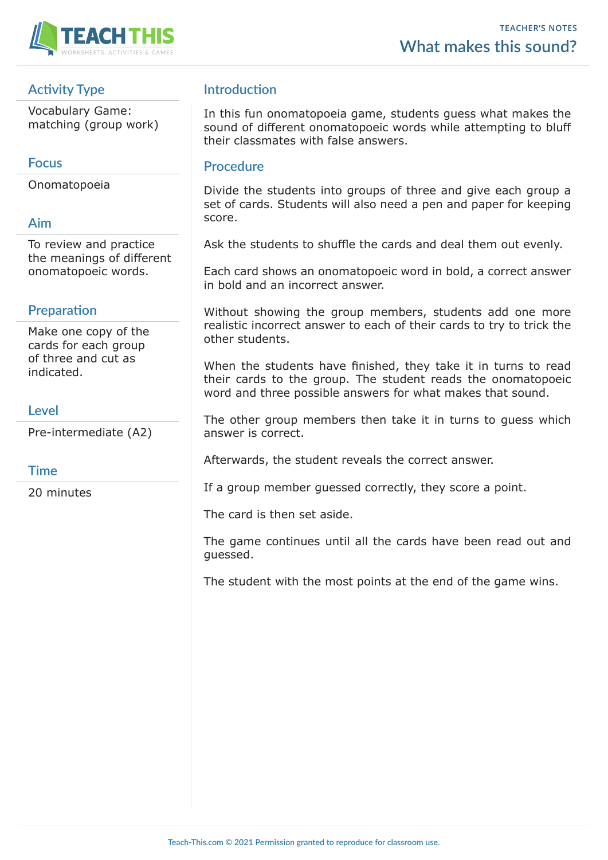

# **Activity Type**

Vocabulary Game: matching (group work)

## **Focus**

Onomatopoeia

## **Aim**

To review and practice the meanings of different onomatopoeic words.

## **Preparation**

Make one copy of the cards for each group of three and cut as indicated.

## **Level**

Pre-intermediate (A2)

#### **Time**

20 minutes

## **Introduction**

In this fun onomatopoeia game, students guess what makes the sound of different onomatopoeic words while attempting to bluff their classmates with false answers.

#### **Procedure**

Divide the students into groups of three and give each group a set of cards. Students will also need a pen and paper for keeping score.

Ask the students to shuffle the cards and deal them out evenly.

Each card shows an onomatopoeic word in bold, a correct answer in bold and an incorrect answer.

Without showing the group members, students add one more realistic incorrect answer to each of their cards to try to trick the other students.

When the students have finished, they take it in turns to read their cards to the group. The student reads the onomatopoeic word and three possible answers for what makes that sound.

The other group members then take it in turns to guess which answer is correct.

Afterwards, the student reveals the correct answer.

If a group member guessed correctly, they score a point.

The card is then set aside.

The game continues until all the cards have been read out and guessed.

The student with the most points at the end of the game wins.